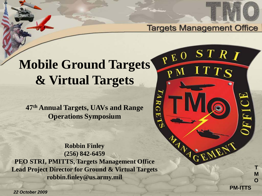

**PM-ITTS**

**T M O**

**Targets Management Office** 

PEO

 $\mathbf{Z}$ 

ᠽ ≎  $\overline{\phantom{a}}$   $STRI$ 

**TTS** 

# **Mobile Ground Targets & Virtual Targets**

**47th Annual Targets, UAVs and Range Operations Symposium**

**Robbin Finley (256) 842-6459 PEO STRI, PMITTS, Targets Management Office Lead Project Director for Ground & Virtual Targets robbin.finley@us.army.mil**

*22 October 2009*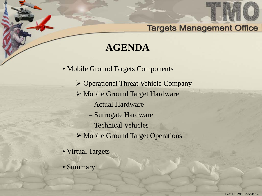# **AGENDA**

• Mobile Ground Targets Components

- Operational Threat Vehicle Company
- Mobile Ground Target Hardware
	- Actual Hardware
	- Surrogate Hardware
	- Technical Vehicles
- Mobile Ground Target Operations
- Virtual Targets
- Summary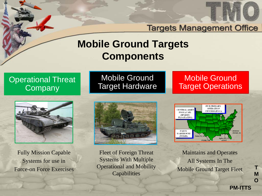

## **Mobile Ground Targets Components**

### Operational Threat **Company**



Fully Mission Capable Systems for use in Force-on Force Exercises

Mobile Ground Target Hardware

### Mobile Ground Target Operations



Fleet of Foreign Threat Systems With Multiple Operational and Mobility **Capabilities** 



Maintains and Operates All Systems In The Mobile Ground Target Fleet

**T M O**

**PM-ITTS**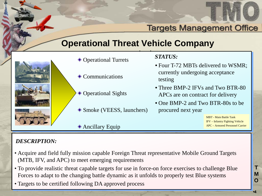

### **Operational Threat Vehicle Company**



- Operational Turrets STATU
- **♦ Communications**
- **◆ Operational Sights**
- ◆ Smoke (VEESS, launchers)

#### *STATUS:*

- Four T-72 MBTs delivered to WSMR: currently undergoing acceptance testing
- Three BMP-2 IFVs and Two BTR-80 APCs are on contract for delivery
- One BMP-2 and Two BTR-80s to be procured next year

MBT - Main Battle Tank IFV – Infantry Fighting Vehicle APC – Armored Personnel Carrier

**PM-ITTS**

**T M O**

•4

#### ◆ Ancillary Equip

- Acquire and field fully mission capable Foreign Threat representative Mobile Ground Targets (MTB, IFV, and APC) to meet emerging requirements
- To provide realistic threat capable targets for use in force-on force exercises to challenge Blue Forces to adapt to the changing battle dynamic as it unfolds to properly test Blue systems
- Targets to be certified following DA approved process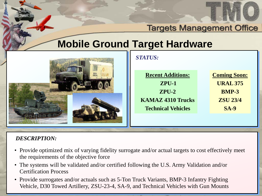

**T M O**

•5

### **Targets Management Office**

## **Mobile Ground Target Hardware**



| <b>STATUS:</b>            |                     |
|---------------------------|---------------------|
| <b>Recent Additions:</b>  | <b>Coming Soon:</b> |
| $ZPU-1$                   | <b>URAL 375</b>     |
| $ZPU-2$                   | <b>BMP-3</b>        |
| <b>KAMAZ 4310 Trucks</b>  | <b>ZSU 23/4</b>     |
| <b>Technical Vehicles</b> | $SA-9$              |
|                           |                     |
|                           |                     |

- Provide optimized mix of varying fidelity surrogate and/or actual targets to cost effectively meet the requirements of the objective force
- The systems will be validated and/or certified following the U.S. Army Validation and/or Certification Process
- Provide surrogates and/or actuals such as 5-Ton Truck Variants, BMP-3 Infantry Fighting Vehicle, D30 Towed Artillery, ZSU-23-4, SA-9, and Technical Vehicles with Gun Mounts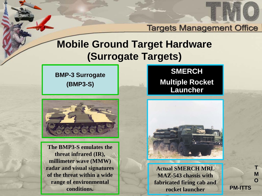

## **Mobile Ground Target Hardware (Surrogate Targets)**

**BMP-3 Surrogate (BMP3-S)**



**The BMP3-S emulates the threat infrared (IR), millimeter wave (MMW) radar and visual signatures of the threat within a wide range of environmental conditions.** 

### **SMERCH Multiple Rocket Launcher**



**Actual SMERCH MRL MAZ-543 chassis with fabricated firing cab and rocket launcher**

**PM-ITTS**

**T M O**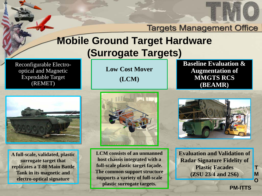

# **Mobile Ground Target Hardware (Surrogate Targets)**

Reconfigurable Electrooptical and Magnetic Expendable Target (REMET)

**Low Cost Mover (LCM)**

**Baseline Evaluation & Augmentation of MMGTS RCS (BEAMR)**



**A full-scale, validated, plastic surrogate target that replicates a T-80 Main Battle Tank in its magnetic and electro-optical signature**



**LCM consists of an unmanned host chassis integrated with a full-scale plastic target façade. The common support structure supports a variety of full-scale plastic surrogate targets.**



**Evaluation and Validation of Radar Signature Fidelity of Plastic Facades (ZSU 23/4 and 2S6)**

**PM-ITTS**

**T M O**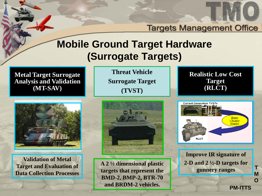

## **Mobile Ground Target Hardware (Surrogate Targets)**

**Metal Target Surrogate Analysis and Validation (MT-SAV)**

**Threat Vehicle Surrogate Target (TVST)**

**Realistic Low Cost Target (RLCT)**



**Validation of Metal Target and Evaluation of Data Collection Processes** 



**A 2 ½ dimensional plastic targets that represent the BMD-2, BMP-2, BTR-70 and BRDM-2 vehicles.**



**Improve IR signature of 2-D and 2 ½-D targets for gunnery ranges**

**PM-ITTS**

**T M O**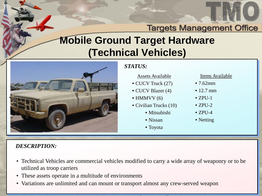

# **Mobile Ground Target Hardware (Technical Vehicles)**



### *STATUS:*

#### Assets Available

- CUCV Truck (27)
- CUCV Blazer (4)
- $\bullet$  HMMVV (6)
- Civilian Trucks (10)
	- Mitsubishi
	- Nissan
	- Toyota

#### Items Available

**T M O**

•9

- 7.62mm
- 12.7 mm
- $\bullet$  ZPU-1
- $\bullet$  ZPU-2
- $\bullet$  ZPU-4
- Netting

- Technical Vehicles are commercial vehicles modified to carry a wide array of weaponry or to be utilized as troop carriers
- These assets operate in a multitude of environments
- Variations are unlimited and can mount or transport almost any crew-served weapon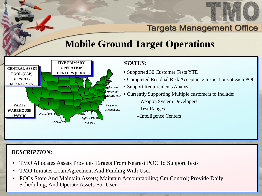

**T M O**

•10

## **Mobile Ground Target Operations**



#### *STATUS:*

- Supported 30 Customer Tests YTD
- Completed Residual Risk Acceptance Inspections at each POC
- Support Requirements Analysis
- Currently Supporting Multiple customers to Include:
	- –Weapon System Developers
	- –Test Ranges
	- Intelligence Centers

- TMO Allocates Assets Provides Targets From Nearest POC To Support Tests
- TMO Initiates Loan Agreement And Funding With User
- POCs Store And Maintain Assets; Maintain Accountability; Cm Control; Provide Daily Scheduling; And Operate Assets For User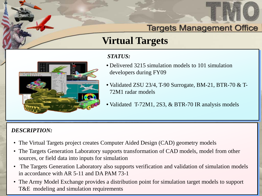

**T M O**

•11

## **Virtual Targets**



#### *STATUS:*

- Delivered 3215 simulation models to 101 simulation developers during FY09
- Validated ZSU 23/4, T-90 Surrogate, BM-21, BTR-70 & T-72M1 radar models
- Validated T-72M1, 2S3, & BTR-70 IR analysis models

- The Virtual Targets project creates Computer Aided Design (CAD) geometry models
- The Targets Generation Laboratory supports transformation of CAD models, model from other sources, or field data into inputs for simulation
- The Targets Generation Laboratory also supports verification and validation of simulation models in accordance with AR 5-11 and DA PAM 73-1
- The Army Model Exchange provides a distribution point for simulation target models to support T&E modeling and simulation requirements